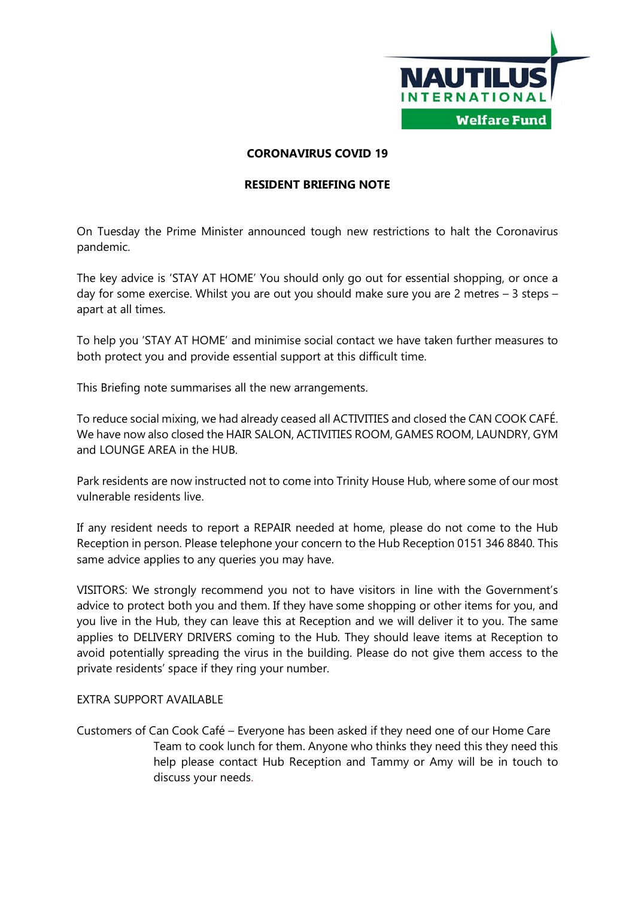

## **CORONAVIRUS COVID 19**

## **RESIDENT BRIEFING NOTE**

On Tuesday the Prime Minister announced tough new restrictions to halt the Coronavirus pandemic.

The key advice is 'STAY AT HOME' You should only go out for essential shopping, or once a day for some exercise. Whilst you are out you should make sure you are 2 metres – 3 steps – apart at all times.

To help you 'STAY AT HOME' and minimise social contact we have taken further measures to both protect you and provide essential support at this difficult time.

This Briefing note summarises all the new arrangements.

To reduce social mixing, we had already ceased all ACTIVITIES and closed the CAN COOK CAFÉ. We have now also closed the HAIR SALON, ACTIVITIES ROOM, GAMES ROOM, LAUNDRY, GYM and LOUNGE AREA in the HUB.

Park residents are now instructed not to come into Trinity House Hub, where some of our most vulnerable residents live.

If any resident needs to report a REPAIR needed at home, please do not come to the Hub Reception in person. Please telephone your concern to the Hub Reception 0151 346 8840. This same advice applies to any queries you may have.

VISITORS: We strongly recommend you not to have visitors in line with the Government's advice to protect both you and them. If they have some shopping or other items for you, and you live in the Hub, they can leave this at Reception and we will deliver it to you. The same applies to DELIVERY DRIVERS coming to the Hub. They should leave items at Reception to avoid potentially spreading the virus in the building. Please do not give them access to the private residents' space if they ring your number.

## EXTRA SUPPORT AVAILABLE

Customers of Can Cook Café – Everyone has been asked if they need one of our Home Care Team to cook lunch for them. Anyone who thinks they need this they need this help please contact Hub Reception and Tammy or Amy will be in touch to discuss your needs.